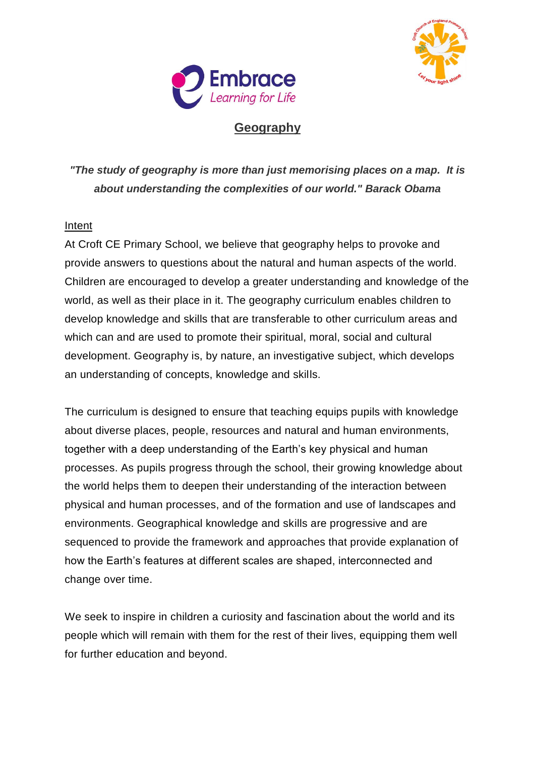



## **Geography**

*"The study of geography is more than just memorising places on a map. It is about understanding the complexities of our world." Barack Obama*

## Intent

At Croft CE Primary School, we believe that geography helps to provoke and provide answers to questions about the natural and human aspects of the world. Children are encouraged to develop a greater understanding and knowledge of the world, as well as their place in it. The geography curriculum enables children to develop knowledge and skills that are transferable to other curriculum areas and which can and are used to promote their spiritual, moral, social and cultural development. Geography is, by nature, an investigative subject, which develops an understanding of concepts, knowledge and skills.

The curriculum is designed to ensure that teaching equips pupils with knowledge about diverse places, people, resources and natural and human environments, together with a deep understanding of the Earth's key physical and human processes. As pupils progress through the school, their growing knowledge about the world helps them to deepen their understanding of the interaction between physical and human processes, and of the formation and use of landscapes and environments. Geographical knowledge and skills are progressive and are sequenced to provide the framework and approaches that provide explanation of how the Earth's features at different scales are shaped, interconnected and change over time.

We seek to inspire in children a curiosity and fascination about the world and its people which will remain with them for the rest of their lives, equipping them well for further education and beyond.